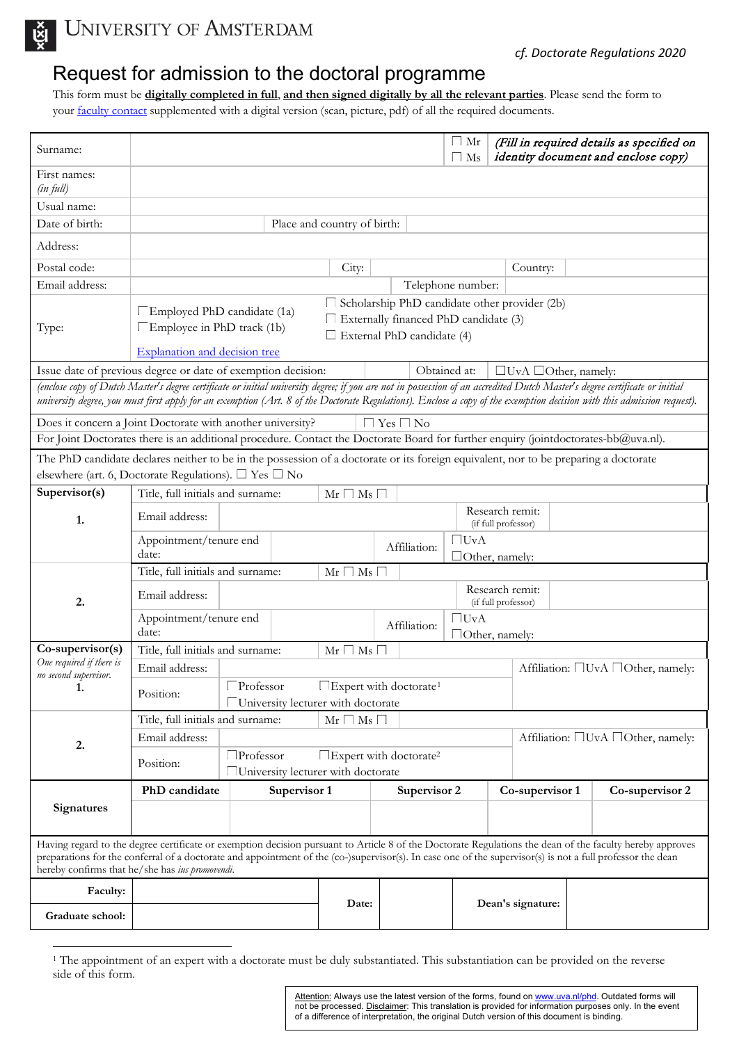

UNIVERSITY OF AMSTERDAM

## Request for admission to the doctoral programme

This form must be **digitally completed in full**, **and then signed digitally by all the relevant parties**. Please send the form to your [faculty contact](https://www.uva.nl/en/research/phd/contact-information/faculty-contacts/faculty-contacts.html) supplemented with a digital version (scan, picture, pdf) of all the required documents.

| Surname:                                                                                                                                                                                                                                                                                                                                                                  | $\Box$ Mr<br>(Fill in required details as specified on<br>identity document and enclose copy)<br>$\Box$ Ms                                                                                                                                      |                                                                     |  |                                        |                                        |                                    |  |  |
|---------------------------------------------------------------------------------------------------------------------------------------------------------------------------------------------------------------------------------------------------------------------------------------------------------------------------------------------------------------------------|-------------------------------------------------------------------------------------------------------------------------------------------------------------------------------------------------------------------------------------------------|---------------------------------------------------------------------|--|----------------------------------------|----------------------------------------|------------------------------------|--|--|
| First names:<br>(in full)                                                                                                                                                                                                                                                                                                                                                 |                                                                                                                                                                                                                                                 |                                                                     |  |                                        |                                        |                                    |  |  |
| Usual name:                                                                                                                                                                                                                                                                                                                                                               |                                                                                                                                                                                                                                                 |                                                                     |  |                                        |                                        |                                    |  |  |
| Date of birth:                                                                                                                                                                                                                                                                                                                                                            | Place and country of birth:                                                                                                                                                                                                                     |                                                                     |  |                                        |                                        |                                    |  |  |
| Address:                                                                                                                                                                                                                                                                                                                                                                  |                                                                                                                                                                                                                                                 |                                                                     |  |                                        |                                        |                                    |  |  |
| Postal code:                                                                                                                                                                                                                                                                                                                                                              | City:                                                                                                                                                                                                                                           |                                                                     |  | Country:                               |                                        |                                    |  |  |
| Email address:                                                                                                                                                                                                                                                                                                                                                            |                                                                                                                                                                                                                                                 | Telephone number:                                                   |  |                                        |                                        |                                    |  |  |
| Type:                                                                                                                                                                                                                                                                                                                                                                     | $\Box$ Scholarship PhD candidate other provider (2b)<br>$\Box$ Employed PhD candidate (1a)<br>Externally financed PhD candidate (3)<br>□Employee in PhD track (1b)<br>$\Box$ External PhD candidate (4)<br><b>Explanation and decision tree</b> |                                                                     |  |                                        |                                        |                                    |  |  |
|                                                                                                                                                                                                                                                                                                                                                                           |                                                                                                                                                                                                                                                 |                                                                     |  |                                        |                                        |                                    |  |  |
| Issue date of previous degree or date of exemption decision:<br>Obtained at:<br>$\Box$ UvA $\Box$ Other, namely:<br>(enclose copy of Dutch Master's degree certificate or initial university degree; if you are not in possession of an accredited Dutch Master's degree certificate or initial                                                                           |                                                                                                                                                                                                                                                 |                                                                     |  |                                        |                                        |                                    |  |  |
| university degree, you must first apply for an exemption (Art. 8 of the Doctorate Regulations). Enclose a copy of the exemption decision with this admission request).                                                                                                                                                                                                    |                                                                                                                                                                                                                                                 |                                                                     |  |                                        |                                        |                                    |  |  |
| Does it concern a Joint Doctorate with another university?<br>$\Box$ Yes $\Box$ No                                                                                                                                                                                                                                                                                        |                                                                                                                                                                                                                                                 |                                                                     |  |                                        |                                        |                                    |  |  |
| For Joint Doctorates there is an additional procedure. Contact the Doctorate Board for further enquiry (jointdoctorates-bb@uva.nl).                                                                                                                                                                                                                                       |                                                                                                                                                                                                                                                 |                                                                     |  |                                        |                                        |                                    |  |  |
| The PhD candidate declares neither to be in the possession of a doctorate or its foreign equivalent, nor to be preparing a doctorate                                                                                                                                                                                                                                      |                                                                                                                                                                                                                                                 |                                                                     |  |                                        |                                        |                                    |  |  |
| elsewhere (art. 6, Doctorate Regulations). □ Yes □ No                                                                                                                                                                                                                                                                                                                     |                                                                                                                                                                                                                                                 |                                                                     |  |                                        |                                        |                                    |  |  |
| Supervisor(s)                                                                                                                                                                                                                                                                                                                                                             | Title, full initials and surname:<br>$Mr \Box Ms \Box$                                                                                                                                                                                          |                                                                     |  |                                        |                                        |                                    |  |  |
| 1.                                                                                                                                                                                                                                                                                                                                                                        | Email address:                                                                                                                                                                                                                                  |                                                                     |  | Research remit:<br>(if full professor) |                                        |                                    |  |  |
|                                                                                                                                                                                                                                                                                                                                                                           | Appointment/tenure end<br>date:                                                                                                                                                                                                                 |                                                                     |  | Affiliation:                           | $\Box$ UvA<br>Other, namely:           |                                    |  |  |
| 2.                                                                                                                                                                                                                                                                                                                                                                        | Title, full initials and surname:<br>$Mr \Box Ms \Box$                                                                                                                                                                                          |                                                                     |  |                                        |                                        |                                    |  |  |
|                                                                                                                                                                                                                                                                                                                                                                           | Email address:                                                                                                                                                                                                                                  |                                                                     |  |                                        | Research remit:<br>(if full professor) |                                    |  |  |
|                                                                                                                                                                                                                                                                                                                                                                           | Appointment/tenure end<br>date:                                                                                                                                                                                                                 |                                                                     |  | Affiliation:                           | $\Box$ UvA<br>Other, namely:           |                                    |  |  |
| Co-supervisor(s)                                                                                                                                                                                                                                                                                                                                                          | Title, full initials and surname:<br>$Mr \Box Ms \Box$                                                                                                                                                                                          |                                                                     |  |                                        |                                        |                                    |  |  |
| One required if there is<br>no second supervisor.<br>1.                                                                                                                                                                                                                                                                                                                   | Email address:                                                                                                                                                                                                                                  |                                                                     |  |                                        | Affiliation: □UvA □Other, namely:      |                                    |  |  |
|                                                                                                                                                                                                                                                                                                                                                                           | Position:                                                                                                                                                                                                                                       | $\square$ Expert with doctorate <sup>1</sup><br>$\square$ Professor |  |                                        |                                        |                                    |  |  |
|                                                                                                                                                                                                                                                                                                                                                                           | University lecturer with doctorate                                                                                                                                                                                                              |                                                                     |  |                                        |                                        |                                    |  |  |
| 2.                                                                                                                                                                                                                                                                                                                                                                        | Title, full initials and surname:<br>$Mr \Box Ms \Box$                                                                                                                                                                                          |                                                                     |  |                                        |                                        |                                    |  |  |
|                                                                                                                                                                                                                                                                                                                                                                           | Email address:                                                                                                                                                                                                                                  |                                                                     |  |                                        |                                        | Affiliation: □UvA □Other, namely:  |  |  |
|                                                                                                                                                                                                                                                                                                                                                                           | $\Box$ Professor<br>$\Box$ Expert with doctorate <sup>2</sup><br>Position:<br>University lecturer with doctorate                                                                                                                                |                                                                     |  |                                        |                                        |                                    |  |  |
| <b>Signatures</b>                                                                                                                                                                                                                                                                                                                                                         | PhD candidate                                                                                                                                                                                                                                   | Supervisor 1                                                        |  | Supervisor 2                           |                                        | Co-supervisor 1<br>Co-supervisor 2 |  |  |
|                                                                                                                                                                                                                                                                                                                                                                           |                                                                                                                                                                                                                                                 |                                                                     |  |                                        |                                        |                                    |  |  |
|                                                                                                                                                                                                                                                                                                                                                                           |                                                                                                                                                                                                                                                 |                                                                     |  |                                        |                                        |                                    |  |  |
| Having regard to the degree certificate or exemption decision pursuant to Article 8 of the Doctorate Regulations the dean of the faculty hereby approves<br>preparations for the conferral of a doctorate and appointment of the (co-)supervisor(s). In case one of the supervisor(s) is not a full professor the dean<br>hereby confirms that he/she has ius promovendi. |                                                                                                                                                                                                                                                 |                                                                     |  |                                        |                                        |                                    |  |  |
| Faculty:                                                                                                                                                                                                                                                                                                                                                                  | Date:<br>Dean's signature:                                                                                                                                                                                                                      |                                                                     |  |                                        |                                        |                                    |  |  |
| Graduate school:                                                                                                                                                                                                                                                                                                                                                          |                                                                                                                                                                                                                                                 |                                                                     |  |                                        |                                        |                                    |  |  |

<sup>&</sup>lt;sup>1</sup> The appointment of an expert with a doctorate must be duly substantiated. This substantiation can be provided on the reverse side of this form.